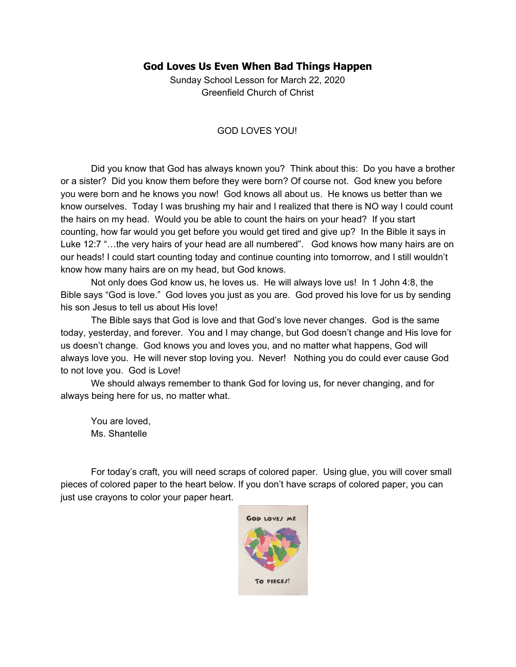## **God Loves Us Even When Bad Things Happen**

Sunday School Lesson for March 22, 2020 Greenfield Church of Christ

## GOD LOVES YOU!

Did you know that God has always known you? Think about this: Do you have a brother or a sister? Did you know them before they were born? Of course not. God knew you before you were born and he knows you now! God knows all about us. He knows us better than we know ourselves. Today I was brushing my hair and I realized that there is NO way I could count the hairs on my head. Would you be able to count the hairs on your head? If you start counting, how far would you get before you would get tired and give up? In the Bible it says in Luke 12:7 "…the very hairs of your head are all numbered". God knows how many hairs are on our heads! I could start counting today and continue counting into tomorrow, and I still wouldn't know how many hairs are on my head, but God knows.

Not only does God know us, he loves us. He will always love us! In 1 John 4:8, the Bible says "God is love." God loves you just as you are. God proved his love for us by sending his son Jesus to tell us about His love!

The Bible says that God is love and that God's love never changes. God is the same today, yesterday, and forever. You and I may change, but God doesn't change and His love for us doesn't change. God knows you and loves you, and no matter what happens, God will always love you. He will never stop loving you. Never! Nothing you do could ever cause God to not love you. God is Love!

We should always remember to thank God for loving us, for never changing, and for always being here for us, no matter what.

You are loved, Ms. Shantelle

For today's craft, you will need scraps of colored paper. Using glue, you will cover small pieces of colored paper to the heart below. If you don't have scraps of colored paper, you can just use crayons to color your paper heart.

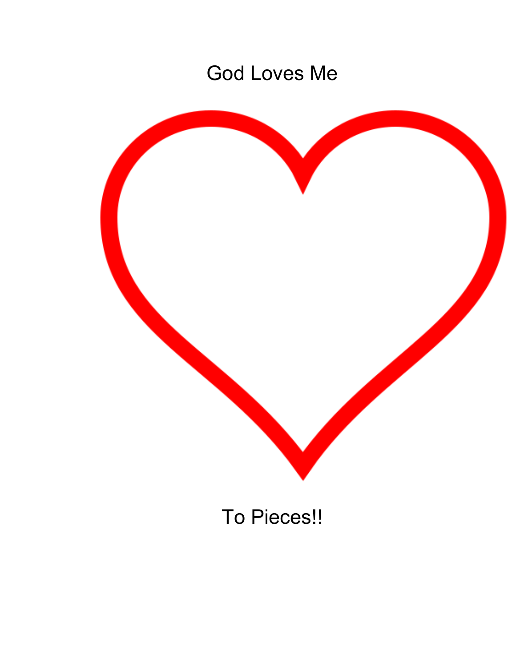